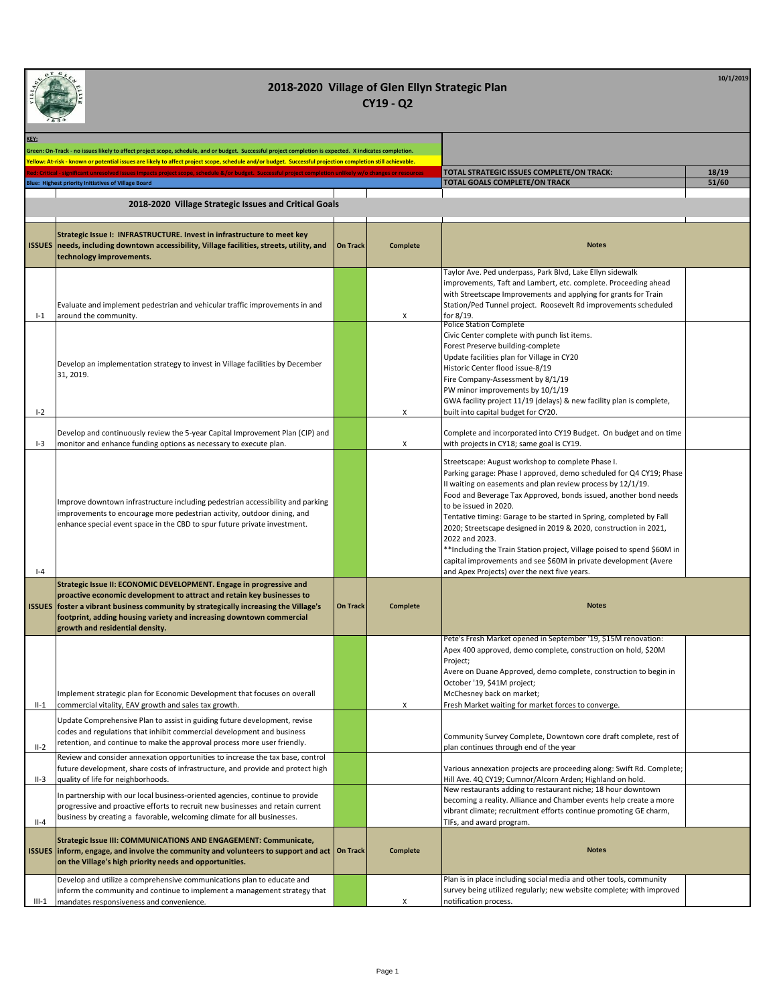

| KEY:    | Green: On-Track - no issues likely to affect project scope, schedule, and or budget. Successful project completion is expected. X indicates completion.                                                                                                                                                                                          |                 |                 |                                                                                                                                                                                                                                                                                                                                                                                                                                                                                                                                                                                                                                                   |       |
|---------|--------------------------------------------------------------------------------------------------------------------------------------------------------------------------------------------------------------------------------------------------------------------------------------------------------------------------------------------------|-----------------|-----------------|---------------------------------------------------------------------------------------------------------------------------------------------------------------------------------------------------------------------------------------------------------------------------------------------------------------------------------------------------------------------------------------------------------------------------------------------------------------------------------------------------------------------------------------------------------------------------------------------------------------------------------------------------|-------|
|         | Yellow: At-risk - known or potential issues are likely to affect project scope, schedule and/or budget. Successful projection completion still achievable.<br>nificant unresolved issues impacts project scope, schedule &/or budget. Successful project completion unlikely w/o chang                                                           |                 |                 | TOTAL STRATEGIC ISSUES COMPLETE/ON TRACK:                                                                                                                                                                                                                                                                                                                                                                                                                                                                                                                                                                                                         | 18/19 |
|         | Blue: Highest priority Initiatives of Village Board                                                                                                                                                                                                                                                                                              |                 |                 | <b>TOTAL GOALS COMPLETE/ON TRACK</b>                                                                                                                                                                                                                                                                                                                                                                                                                                                                                                                                                                                                              | 51/60 |
|         | 2018-2020 Village Strategic Issues and Critical Goals                                                                                                                                                                                                                                                                                            |                 |                 |                                                                                                                                                                                                                                                                                                                                                                                                                                                                                                                                                                                                                                                   |       |
|         | Strategic Issue I: INFRASTRUCTURE. Invest in infrastructure to meet key<br>ISSUES   needs, including downtown accessibility, Village facilities, streets, utility, and<br>technology improvements.                                                                                                                                               | <b>On Track</b> | <b>Complete</b> | <b>Notes</b>                                                                                                                                                                                                                                                                                                                                                                                                                                                                                                                                                                                                                                      |       |
| $-1$    | Evaluate and implement pedestrian and vehicular traffic improvements in and<br>around the community.                                                                                                                                                                                                                                             |                 | Х               | Taylor Ave. Ped underpass, Park Blvd, Lake Ellyn sidewalk<br>improvements, Taft and Lambert, etc. complete. Proceeding ahead<br>with Streetscape Improvements and applying for grants for Train<br>Station/Ped Tunnel project. Roosevelt Rd improvements scheduled<br>for 8/19.                                                                                                                                                                                                                                                                                                                                                                   |       |
| $I-2$   | Develop an implementation strategy to invest in Village facilities by December<br>31, 2019.                                                                                                                                                                                                                                                      |                 | Х               | <b>Police Station Complete</b><br>Civic Center complete with punch list items.<br>Forest Preserve building-complete<br>Update facilities plan for Village in CY20<br>Historic Center flood issue-8/19<br>Fire Company-Assessment by 8/1/19<br>PW minor improvements by 10/1/19<br>GWA facility project 11/19 (delays) & new facility plan is complete,<br>built into capital budget for CY20.                                                                                                                                                                                                                                                     |       |
| $I-3$   | Develop and continuously review the 5-year Capital Improvement Plan (CIP) and<br>monitor and enhance funding options as necessary to execute plan.                                                                                                                                                                                               |                 | Х               | Complete and incorporated into CY19 Budget. On budget and on time<br>with projects in CY18; same goal is CY19.                                                                                                                                                                                                                                                                                                                                                                                                                                                                                                                                    |       |
| $I - 4$ | Improve downtown infrastructure including pedestrian accessibility and parking<br>improvements to encourage more pedestrian activity, outdoor dining, and<br>enhance special event space in the CBD to spur future private investment.                                                                                                           |                 |                 | Streetscape: August workshop to complete Phase I.<br>Parking garage: Phase I approved, demo scheduled for Q4 CY19; Phase<br>II waiting on easements and plan review process by 12/1/19.<br>Food and Beverage Tax Approved, bonds issued, another bond needs<br>to be issued in 2020.<br>Tentative timing: Garage to be started in Spring, completed by Fall<br>2020; Streetscape designed in 2019 & 2020, construction in 2021,<br>2022 and 2023.<br>** Including the Train Station project, Village poised to spend \$60M in<br>capital improvements and see \$60M in private development (Avere<br>and Apex Projects) over the next five years. |       |
|         | Strategic Issue II: ECONOMIC DEVELOPMENT. Engage in progressive and<br>proactive economic development to attract and retain key businesses to<br>ISSUES foster a vibrant business community by strategically increasing the Village's<br>footprint, adding housing variety and increasing downtown commercial<br>growth and residential density. | On Track        | <b>Complete</b> | <b>Notes</b>                                                                                                                                                                                                                                                                                                                                                                                                                                                                                                                                                                                                                                      |       |
|         | Implement strategic plan for Economic Development that focuses on overall<br>commercial vitality, EAV growth and sales tax growth.<br>Update Comprehensive Plan to assist in guiding future development, revise                                                                                                                                  |                 |                 | Pete's Fresh Market opened in September '19, \$15M renovation:<br>Apex 400 approved, demo complete, construction on hold, \$20M<br>Project;<br>Avere on Duane Approved, demo complete, construction to begin in<br>October '19, \$41M project;<br>McChesney back on market;<br>Fresh Market waiting for market forces to converge.                                                                                                                                                                                                                                                                                                                |       |
| $II-2$  | codes and regulations that inhibit commercial development and business<br>retention, and continue to make the approval process more user friendly.                                                                                                                                                                                               |                 |                 | Community Survey Complete, Downtown core draft complete, rest of<br>plan continues through end of the year                                                                                                                                                                                                                                                                                                                                                                                                                                                                                                                                        |       |
| $II-3$  | Review and consider annexation opportunities to increase the tax base, control<br>future development, share costs of infrastructure, and provide and protect high<br>quality of life for neighborhoods.                                                                                                                                          |                 |                 | Various annexation projects are proceeding along: Swift Rd. Complete;<br>Hill Ave. 4Q CY19; Cumnor/Alcorn Arden; Highland on hold.                                                                                                                                                                                                                                                                                                                                                                                                                                                                                                                |       |
| $II-4$  | In partnership with our local business-oriented agencies, continue to provide<br>progressive and proactive efforts to recruit new businesses and retain current<br>business by creating a favorable, welcoming climate for all businesses.                                                                                                       |                 |                 | New restaurants adding to restaurant niche; 18 hour downtown<br>becoming a reality. Alliance and Chamber events help create a more<br>vibrant climate; recruitment efforts continue promoting GE charm,<br>TIFs, and award program.                                                                                                                                                                                                                                                                                                                                                                                                               |       |
|         | Strategic Issue III: COMMUNICATIONS AND ENGAGEMENT: Communicate,<br>ISSUES inform, engage, and involve the community and volunteers to support and act   On Track<br>on the Village's high priority needs and opportunities.                                                                                                                     |                 | <b>Complete</b> | <b>Notes</b>                                                                                                                                                                                                                                                                                                                                                                                                                                                                                                                                                                                                                                      |       |
| $III-1$ | Develop and utilize a comprehensive communications plan to educate and<br>inform the community and continue to implement a management strategy that<br>mandates responsiveness and convenience.                                                                                                                                                  |                 | Х               | Plan is in place including social media and other tools, community<br>survey being utilized regularly; new website complete; with improved<br>notification process.                                                                                                                                                                                                                                                                                                                                                                                                                                                                               |       |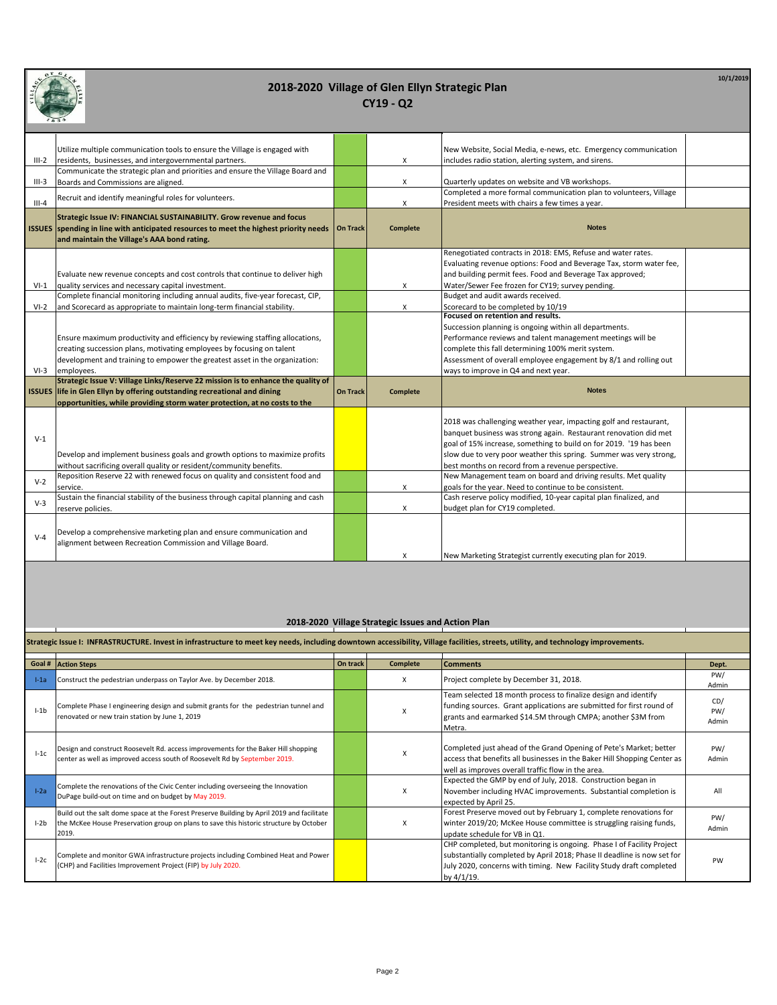

**10/1/2019**

|         | 1834                                                                                  |                 |                 |                                                                     |  |
|---------|---------------------------------------------------------------------------------------|-----------------|-----------------|---------------------------------------------------------------------|--|
|         |                                                                                       |                 |                 |                                                                     |  |
|         | Utilize multiple communication tools to ensure the Village is engaged with            |                 |                 | New Website, Social Media, e-news, etc. Emergency communication     |  |
| $III-2$ | residents, businesses, and intergovernmental partners.                                |                 | X               | includes radio station, alerting system, and sirens.                |  |
|         | Communicate the strategic plan and priorities and ensure the Village Board and        |                 |                 |                                                                     |  |
| $III-3$ | Boards and Commissions are aligned.                                                   |                 | X               | Quarterly updates on website and VB workshops.                      |  |
|         | Recruit and identify meaningful roles for volunteers.                                 |                 |                 | Completed a more formal communication plan to volunteers, Village   |  |
| $III-4$ |                                                                                       |                 | X               | President meets with chairs a few times a year.                     |  |
|         | Strategic Issue IV: FINANCIAL SUSTAINABILITY. Grow revenue and focus                  |                 |                 |                                                                     |  |
|         | ISSUES spending in line with anticipated resources to meet the highest priority needs | <b>On Track</b> | <b>Complete</b> | <b>Notes</b>                                                        |  |
|         | and maintain the Village's AAA bond rating.                                           |                 |                 |                                                                     |  |
|         |                                                                                       |                 |                 | Renegotiated contracts in 2018: EMS, Refuse and water rates.        |  |
|         |                                                                                       |                 |                 | Evaluating revenue options: Food and Beverage Tax, storm water fee, |  |
|         | Evaluate new revenue concepts and cost controls that continue to deliver high         |                 |                 | and building permit fees. Food and Beverage Tax approved;           |  |
| $VI-1$  | quality services and necessary capital investment.                                    |                 | X               | Water/Sewer Fee frozen for CY19; survey pending.                    |  |
|         | Complete financial monitoring including annual audits, five-year forecast, CIP,       |                 |                 | Budget and audit awards received.                                   |  |
| $VI-2$  | and Scorecard as appropriate to maintain long-term financial stability.               |                 | X               | Scorecard to be completed by 10/19                                  |  |
|         |                                                                                       |                 |                 | Focused on retention and results.                                   |  |
|         |                                                                                       |                 |                 | Succession planning is ongoing within all departments.              |  |
|         | Ensure maximum productivity and efficiency by reviewing staffing allocations,         |                 |                 | Performance reviews and talent management meetings will be          |  |
|         | creating succession plans, motivating employees by focusing on talent                 |                 |                 | complete this fall determining 100% merit system.                   |  |
|         | development and training to empower the greatest asset in the organization:           |                 |                 | Assessment of overall employee engagement by 8/1 and rolling out    |  |
| $VI-3$  | employees.                                                                            |                 |                 | ways to improve in Q4 and next year.                                |  |
|         | Strategic Issue V: Village Links/Reserve 22 mission is to enhance the quality of      |                 |                 |                                                                     |  |
|         | ISSUES life in Glen Ellyn by offering outstanding recreational and dining             | <b>On Track</b> | <b>Complete</b> | <b>Notes</b>                                                        |  |
|         | opportunities, while providing storm water protection, at no costs to the             |                 |                 |                                                                     |  |
|         |                                                                                       |                 |                 | 2018 was challenging weather year, impacting golf and restaurant,   |  |
|         |                                                                                       |                 |                 | banquet business was strong again. Restaurant renovation did met    |  |
| $V-1$   |                                                                                       |                 |                 | goal of 15% increase, something to build on for 2019. '19 has been  |  |
|         | Develop and implement business goals and growth options to maximize profits           |                 |                 | slow due to very poor weather this spring. Summer was very strong,  |  |
|         | without sacrificing overall quality or resident/community benefits.                   |                 |                 | best months on record from a revenue perspective.                   |  |
|         | Reposition Reserve 22 with renewed focus on quality and consistent food and           |                 |                 | New Management team on board and driving results. Met quality       |  |
| $V-2$   | service.                                                                              |                 | Χ               | goals for the year. Need to continue to be consistent.              |  |
| $V-3$   | Sustain the financial stability of the business through capital planning and cash     |                 |                 | Cash reserve policy modified, 10-year capital plan finalized, and   |  |
|         | reserve policies.                                                                     |                 | X               | budget plan for CY19 completed.                                     |  |
|         |                                                                                       |                 |                 |                                                                     |  |
| $V-4$   | Develop a comprehensive marketing plan and ensure communication and                   |                 |                 |                                                                     |  |
|         | alignment between Recreation Commission and Village Board.                            |                 |                 |                                                                     |  |
|         |                                                                                       |                 | X               | New Marketing Strategist currently executing plan for 2019.         |  |

#### **2018-2020 Village Strategic Issues and Action Plan**

|          | Strategic Issue I: INFRASTRUCTURE. Invest in infrastructure to meet key needs, including downtown accessibility, Village facilities, streets, utility, and technology improvements.           |          |          |                                                                                                                                                                                                                                       |                     |  |  |  |
|----------|-----------------------------------------------------------------------------------------------------------------------------------------------------------------------------------------------|----------|----------|---------------------------------------------------------------------------------------------------------------------------------------------------------------------------------------------------------------------------------------|---------------------|--|--|--|
|          | Goal # Action Steps                                                                                                                                                                           | On track | Complete | <b>Comments</b>                                                                                                                                                                                                                       | Dept.               |  |  |  |
| $l-1a$   | Construct the pedestrian underpass on Taylor Ave. by December 2018.                                                                                                                           |          | x        | Project complete by December 31, 2018.                                                                                                                                                                                                | PW/<br>Admin        |  |  |  |
| $l - 1b$ | Complete Phase I engineering design and submit grants for the pedestrian tunnel and<br>renovated or new train station by June 1, 2019                                                         |          | x        | Team selected 18 month process to finalize design and identify<br>funding sources. Grant applications are submitted for first round of<br>grants and earmarked \$14.5M through CMPA; another \$3M from<br>Metra.                      | CD/<br>PW/<br>Admin |  |  |  |
| $1-1c$   | Design and construct Roosevelt Rd. access improvements for the Baker Hill shopping<br>center as well as improved access south of Roosevelt Rd by September 2019.                              |          | X        | Completed just ahead of the Grand Opening of Pete's Market; better<br>access that benefits all businesses in the Baker Hill Shopping Center as<br>well as improves overall traffic flow in the area.                                  | PW/<br>Admin        |  |  |  |
| $I-2a$   | Complete the renovations of the Civic Center including overseeing the Innovation<br>DuPage build-out on time and on budget by May 2019.                                                       |          | x        | Expected the GMP by end of July, 2018. Construction began in<br>November including HVAC improvements. Substantial completion is<br>expected by April 25.                                                                              | All                 |  |  |  |
| $l-2b$   | Build out the salt dome space at the Forest Preserve Building by April 2019 and facilitate<br>the McKee House Preservation group on plans to save this historic structure by October<br>2019. |          | X        | Forest Preserve moved out by February 1, complete renovations for<br>winter 2019/20; McKee House committee is struggling raising funds,<br>update schedule for VB in Q1.                                                              | PW/<br>Admin        |  |  |  |
| $I-2c$   | Complete and monitor GWA infrastructure projects including Combined Heat and Power<br>(CHP) and Facilities Improvement Project (FIP) by July 2020.                                            |          |          | CHP completed, but monitoring is ongoing. Phase I of Facility Project<br>substantially completed by April 2018; Phase II deadline is now set for<br>July 2020, concerns with timing. New Facility Study draft completed<br>by 4/1/19. | PW                  |  |  |  |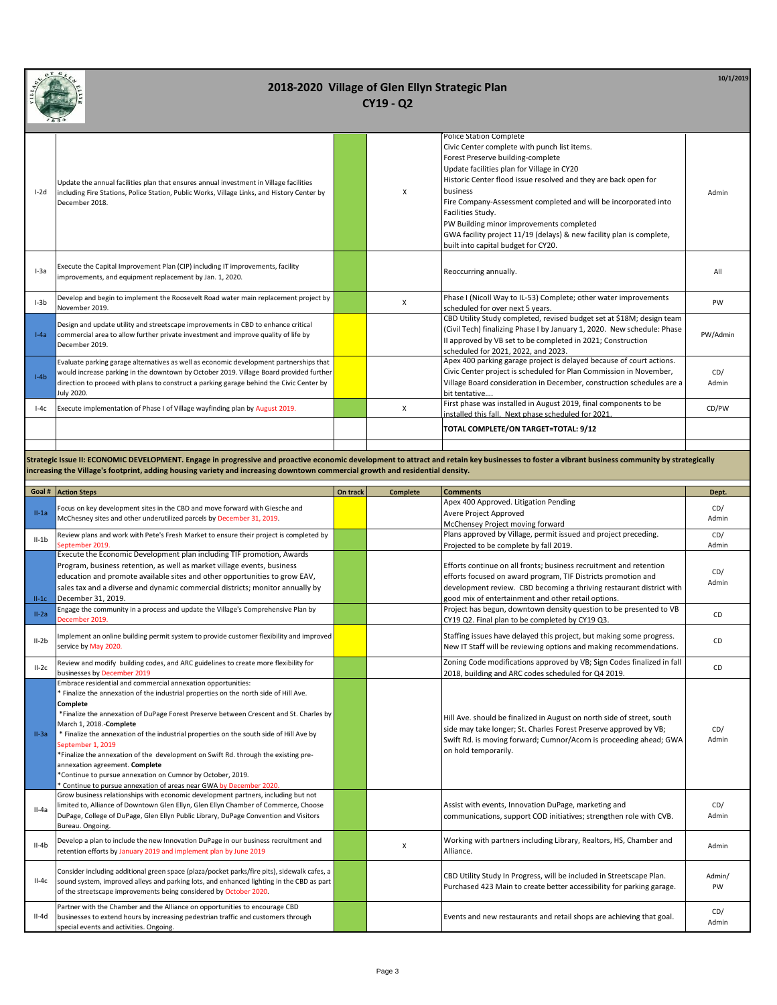

| $I-2d$ | Update the annual facilities plan that ensures annual investment in Village facilities<br>including Fire Stations, Police Station, Public Works, Village Links, and History Center by<br>December 2018.                                                                                    | X | Police Station Complete<br>Civic Center complete with punch list items.<br>Forest Preserve building-complete<br>Update facilities plan for Village in CY20<br>Historic Center flood issue resolved and they are back open for<br>business<br>Fire Company-Assessment completed and will be incorporated into<br>Facilities Study.<br>PW Building minor improvements completed<br>GWA facility project 11/19 (delays) & new facility plan is complete, | Admin        |
|--------|--------------------------------------------------------------------------------------------------------------------------------------------------------------------------------------------------------------------------------------------------------------------------------------------|---|-------------------------------------------------------------------------------------------------------------------------------------------------------------------------------------------------------------------------------------------------------------------------------------------------------------------------------------------------------------------------------------------------------------------------------------------------------|--------------|
| $I-3a$ | Execute the Capital Improvement Plan (CIP) including IT improvements, facility<br>improvements, and equipment replacement by Jan. 1, 2020.                                                                                                                                                 |   | built into capital budget for CY20.<br>Reoccurring annually.                                                                                                                                                                                                                                                                                                                                                                                          | All          |
| $I-3b$ | Develop and begin to implement the Roosevelt Road water main replacement project by<br>November 2019.                                                                                                                                                                                      | X | Phase I (Nicoll Way to IL-53) Complete; other water improvements<br>scheduled for over next 5 years.                                                                                                                                                                                                                                                                                                                                                  | PW           |
| $I-Aa$ | Design and update utility and streetscape improvements in CBD to enhance critical<br>commercial area to allow further private investment and improve quality of life by<br>December 2019.                                                                                                  |   | CBD Utility Study completed, revised budget set at \$18M; design team<br>(Civil Tech) finalizing Phase I by January 1, 2020. New schedule: Phase<br>Il approved by VB set to be completed in 2021; Construction<br>scheduled for 2021, 2022, and 2023.                                                                                                                                                                                                | PW/Admin     |
| $I-4h$ | Evaluate parking garage alternatives as well as economic development partnerships that<br>would increase parking in the downtown by October 2019. Village Board provided further<br>direction to proceed with plans to construct a parking garage behind the Civic Center by<br>July 2020. |   | Apex 400 parking garage project is delayed because of court actions.<br>Civic Center project is scheduled for Plan Commission in November,<br>Village Board consideration in December, construction schedules are a<br>bit tentative                                                                                                                                                                                                                  | CD/<br>Admin |
| $I-4c$ | Execute implementation of Phase I of Village wayfinding plan by August 2019.                                                                                                                                                                                                               | X | First phase was installed in August 2019, final components to be<br>installed this fall. Next phase scheduled for 2021.                                                                                                                                                                                                                                                                                                                               | CD/PW        |
|        |                                                                                                                                                                                                                                                                                            |   | TOTAL COMPLETE/ON TARGET=TOTAL: 9/12                                                                                                                                                                                                                                                                                                                                                                                                                  |              |
|        |                                                                                                                                                                                                                                                                                            |   |                                                                                                                                                                                                                                                                                                                                                                                                                                                       |              |

**Strategic Issue II: ECONOMIC DEVELOPMENT. Engage in progressive and proactive economic development to attract and retain key businesses to foster a vibrant business community by strategically increasing the Village's footprint, adding housing variety and increasing downtown commercial growth and residential density.**

| Goal #  | <b>Action Steps</b>                                                                                                                                                                                                                                                                                                                                                                                                                                                                                                                                                                                                                                              | On track | <b>Complete</b> | <b>Comments</b>                                                                                                                                                                                                                           | Dept.        |
|---------|------------------------------------------------------------------------------------------------------------------------------------------------------------------------------------------------------------------------------------------------------------------------------------------------------------------------------------------------------------------------------------------------------------------------------------------------------------------------------------------------------------------------------------------------------------------------------------------------------------------------------------------------------------------|----------|-----------------|-------------------------------------------------------------------------------------------------------------------------------------------------------------------------------------------------------------------------------------------|--------------|
|         | Focus on key development sites in the CBD and move forward with Giesche and                                                                                                                                                                                                                                                                                                                                                                                                                                                                                                                                                                                      |          |                 | Apex 400 Approved. Litigation Pending                                                                                                                                                                                                     | CD/          |
| $II-1a$ | McChesney sites and other underutilized parcels by December 31, 2019.                                                                                                                                                                                                                                                                                                                                                                                                                                                                                                                                                                                            |          |                 | Avere Project Approved                                                                                                                                                                                                                    | Admin        |
|         |                                                                                                                                                                                                                                                                                                                                                                                                                                                                                                                                                                                                                                                                  |          |                 | McChensey Project moving forward                                                                                                                                                                                                          |              |
| $II-1b$ | Review plans and work with Pete's Fresh Market to ensure their project is completed by                                                                                                                                                                                                                                                                                                                                                                                                                                                                                                                                                                           |          |                 | Plans approved by Village, permit issued and project preceding.                                                                                                                                                                           | CD/          |
|         | September 2019.                                                                                                                                                                                                                                                                                                                                                                                                                                                                                                                                                                                                                                                  |          |                 | Projected to be complete by fall 2019.                                                                                                                                                                                                    | Admin        |
|         | Execute the Economic Development plan including TIF promotion, Awards                                                                                                                                                                                                                                                                                                                                                                                                                                                                                                                                                                                            |          |                 |                                                                                                                                                                                                                                           |              |
|         | Program, business retention, as well as market village events, business                                                                                                                                                                                                                                                                                                                                                                                                                                                                                                                                                                                          |          |                 | Efforts continue on all fronts; business recruitment and retention                                                                                                                                                                        | CD/          |
|         | education and promote available sites and other opportunities to grow EAV,                                                                                                                                                                                                                                                                                                                                                                                                                                                                                                                                                                                       |          |                 | efforts focused on award program, TIF Districts promotion and                                                                                                                                                                             | Admin        |
|         | sales tax and a diverse and dynamic commercial districts; monitor annually by                                                                                                                                                                                                                                                                                                                                                                                                                                                                                                                                                                                    |          |                 | development review. CBD becoming a thriving restaurant district with                                                                                                                                                                      |              |
| $II-1C$ | December 31, 2019.                                                                                                                                                                                                                                                                                                                                                                                                                                                                                                                                                                                                                                               |          |                 | good mix of entertainment and other retail options.                                                                                                                                                                                       |              |
| $II-2a$ | Engage the community in a process and update the Village's Comprehensive Plan by                                                                                                                                                                                                                                                                                                                                                                                                                                                                                                                                                                                 |          |                 | Project has begun, downtown density question to be presented to VB                                                                                                                                                                        | CD           |
|         | December 2019.                                                                                                                                                                                                                                                                                                                                                                                                                                                                                                                                                                                                                                                   |          |                 | CY19 Q2. Final plan to be completed by CY19 Q3.                                                                                                                                                                                           |              |
| $II-2b$ | Implement an online building permit system to provide customer flexibility and improved                                                                                                                                                                                                                                                                                                                                                                                                                                                                                                                                                                          |          |                 | Staffing issues have delayed this project, but making some progress.                                                                                                                                                                      | CD           |
|         | service by May 2020.                                                                                                                                                                                                                                                                                                                                                                                                                                                                                                                                                                                                                                             |          |                 | New IT Staff will be reviewing options and making recommendations.                                                                                                                                                                        |              |
| $II-2C$ | Review and modify building codes, and ARC guidelines to create more flexibility for                                                                                                                                                                                                                                                                                                                                                                                                                                                                                                                                                                              |          |                 | Zoning Code modifications approved by VB; Sign Codes finalized in fall                                                                                                                                                                    | CD           |
|         | businesses by December 2019                                                                                                                                                                                                                                                                                                                                                                                                                                                                                                                                                                                                                                      |          |                 | 2018, building and ARC codes scheduled for Q4 2019.                                                                                                                                                                                       |              |
| $II-3a$ | Embrace residential and commercial annexation opportunities:<br>* Finalize the annexation of the industrial properties on the north side of Hill Ave.<br>Complete<br>*Finalize the annexation of DuPage Forest Preserve between Crescent and St. Charles by<br>March 1, 2018.-Complete<br>* Finalize the annexation of the industrial properties on the south side of Hill Ave by<br>September 1, 2019<br>*Finalize the annexation of the development on Swift Rd. through the existing pre-<br>annexation agreement. Complete<br>*Continue to pursue annexation on Cumnor by October, 2019.<br>Continue to pursue annexation of areas near GWA by December 2020 |          |                 | Hill Ave. should be finalized in August on north side of street, south<br>side may take longer; St. Charles Forest Preserve approved by VB;<br>Swift Rd. is moving forward; Cumnor/Acorn is proceeding ahead; GWA<br>on hold temporarily. | CD/<br>Admin |
| $II-4a$ | Grow business relationships with economic development partners, including but not<br>limited to, Alliance of Downtown Glen Ellyn, Glen Ellyn Chamber of Commerce, Choose<br>DuPage, College of DuPage, Glen Ellyn Public Library, DuPage Convention and Visitors<br>Bureau. Ongoing.                                                                                                                                                                                                                                                                                                                                                                             |          |                 | Assist with events, Innovation DuPage, marketing and<br>communications, support COD initiatives; strengthen role with CVB.                                                                                                                | CD/<br>Admin |
| $II-4b$ | Develop a plan to include the new Innovation DuPage in our business recruitment and<br>retention efforts by January 2019 and implement plan by June 2019                                                                                                                                                                                                                                                                                                                                                                                                                                                                                                         |          | x               | Working with partners including Library, Realtors, HS, Chamber and<br>Alliance.                                                                                                                                                           | Admin        |
| $II-4c$ | Consider including additional green space (plaza/pocket parks/fire pits), sidewalk cafes, a<br>sound system, improved alleys and parking lots, and enhanced lighting in the CBD as part<br>of the streetscape improvements being considered by October 2020.                                                                                                                                                                                                                                                                                                                                                                                                     |          |                 | CBD Utility Study In Progress, will be included in Streetscape Plan.<br>Purchased 423 Main to create better accessibility for parking garage.                                                                                             | Admin/<br>PW |
| II-4d   | Partner with the Chamber and the Alliance on opportunities to encourage CBD<br>businesses to extend hours by increasing pedestrian traffic and customers through<br>special events and activities. Ongoing.                                                                                                                                                                                                                                                                                                                                                                                                                                                      |          |                 | Events and new restaurants and retail shops are achieving that goal.                                                                                                                                                                      | CD/<br>Admin |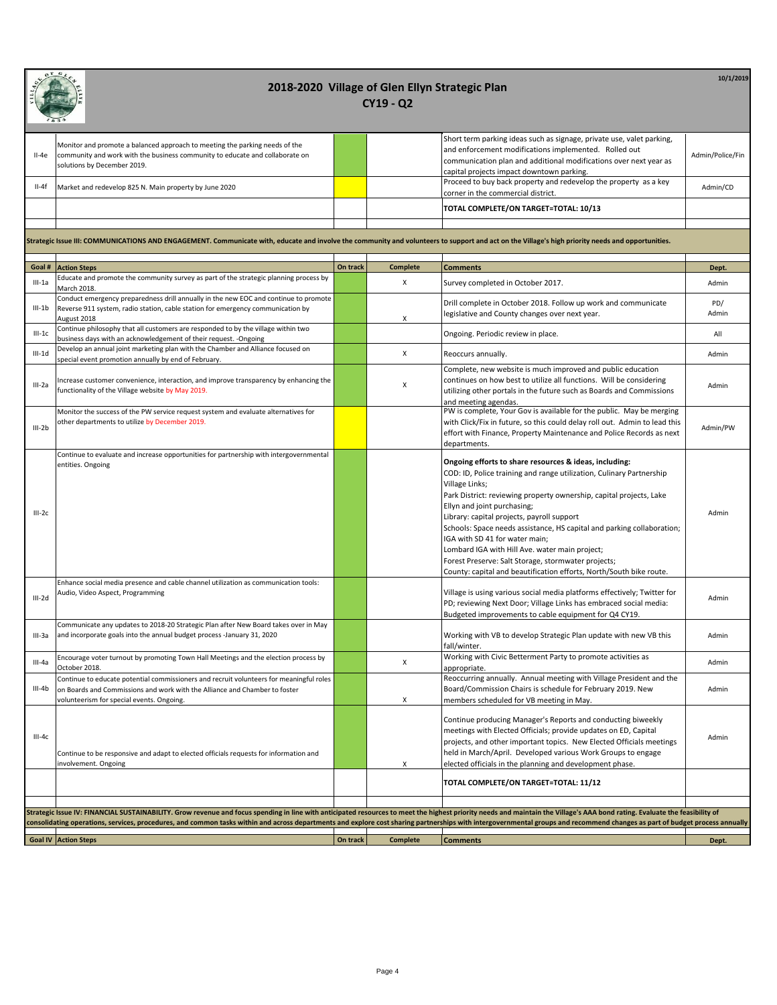| II-4e    | Monitor and promote a balanced approach to meeting the parking needs of the<br>community and work with the business community to educate and collaborate on<br>solutions by December 2019.                                  |          |                    | Short term parking ideas such as signage, private use, valet parking,<br>and enforcement modifications implemented. Rolled out<br>communication plan and additional modifications over next year as<br>capital projects impact downtown parking.                                                                                                                                                                                                                                                                                                                                                 | Admin/Police/Fin |
|----------|-----------------------------------------------------------------------------------------------------------------------------------------------------------------------------------------------------------------------------|----------|--------------------|--------------------------------------------------------------------------------------------------------------------------------------------------------------------------------------------------------------------------------------------------------------------------------------------------------------------------------------------------------------------------------------------------------------------------------------------------------------------------------------------------------------------------------------------------------------------------------------------------|------------------|
| II-4f    | Market and redevelop 825 N. Main property by June 2020                                                                                                                                                                      |          |                    | Proceed to buy back property and redevelop the property as a key<br>corner in the commercial district.                                                                                                                                                                                                                                                                                                                                                                                                                                                                                           | Admin/CD         |
|          |                                                                                                                                                                                                                             |          |                    | TOTAL COMPLETE/ON TARGET=TOTAL: 10/13                                                                                                                                                                                                                                                                                                                                                                                                                                                                                                                                                            |                  |
|          |                                                                                                                                                                                                                             |          |                    |                                                                                                                                                                                                                                                                                                                                                                                                                                                                                                                                                                                                  |                  |
|          | Strategic Issue III: COMMUNICATIONS AND ENGAGEMENT. Communicate with, educate and involve the community and volunteers to support and act on the Village's high priority needs and opportunities.                           |          |                    |                                                                                                                                                                                                                                                                                                                                                                                                                                                                                                                                                                                                  |                  |
| Goal #   | <b>Action Steps</b>                                                                                                                                                                                                         | On track | <b>Complete</b>    | <b>Comments</b>                                                                                                                                                                                                                                                                                                                                                                                                                                                                                                                                                                                  | Dept.            |
| $III-1a$ | Educate and promote the community survey as part of the strategic planning process by<br>March 2018.                                                                                                                        |          | Х                  | Survey completed in October 2017.                                                                                                                                                                                                                                                                                                                                                                                                                                                                                                                                                                | Admin            |
|          | Conduct emergency preparedness drill annually in the new EOC and continue to promote                                                                                                                                        |          |                    | Drill complete in October 2018. Follow up work and communicate                                                                                                                                                                                                                                                                                                                                                                                                                                                                                                                                   | PD/              |
| III-1b   | Reverse 911 system, radio station, cable station for emergency communication by<br>August 2018                                                                                                                              |          | x                  | legislative and County changes over next year.                                                                                                                                                                                                                                                                                                                                                                                                                                                                                                                                                   | Admin            |
| $III-1c$ | Continue philosophy that all customers are responded to by the village within two                                                                                                                                           |          |                    | Ongoing. Periodic review in place.                                                                                                                                                                                                                                                                                                                                                                                                                                                                                                                                                               | All              |
| $III-1d$ | business days with an acknowledgement of their request. -Ongoing<br>Develop an annual joint marketing plan with the Chamber and Alliance focused on                                                                         |          | $\pmb{\chi}$       | Reoccurs annually.                                                                                                                                                                                                                                                                                                                                                                                                                                                                                                                                                                               | Admin            |
|          | special event promotion annually by end of February.                                                                                                                                                                        |          |                    | Complete, new website is much improved and public education                                                                                                                                                                                                                                                                                                                                                                                                                                                                                                                                      |                  |
| III-2a   | Increase customer convenience, interaction, and improve transparency by enhancing the<br>functionality of the Village website by May 2019.                                                                                  |          | Х                  | continues on how best to utilize all functions. Will be considering<br>utilizing other portals in the future such as Boards and Commissions<br>and meeting agendas.                                                                                                                                                                                                                                                                                                                                                                                                                              | Admin            |
| $III-2b$ | Monitor the success of the PW service request system and evaluate alternatives for<br>other departments to utilize by December 2019.                                                                                        |          |                    | PW is complete, Your Gov is available for the public. May be merging<br>with Click/Fix in future, so this could delay roll out. Admin to lead this<br>effort with Finance, Property Maintenance and Police Records as next<br>departments.                                                                                                                                                                                                                                                                                                                                                       | Admin/PW         |
| $III-2c$ | Continue to evaluate and increase opportunities for partnership with intergovernmental<br>entities. Ongoing                                                                                                                 |          |                    | Ongoing efforts to share resources & ideas, including:<br>COD: ID, Police training and range utilization, Culinary Partnership<br>Village Links;<br>Park District: reviewing property ownership, capital projects, Lake<br>Ellyn and joint purchasing;<br>Library: capital projects, payroll support<br>Schools: Space needs assistance, HS capital and parking collaboration;<br>IGA with SD 41 for water main;<br>Lombard IGA with Hill Ave. water main project;<br>Forest Preserve: Salt Storage, stormwater projects;<br>County: capital and beautification efforts, North/South bike route. | Admin            |
|          | Enhance social media presence and cable channel utilization as communication tools:                                                                                                                                         |          |                    |                                                                                                                                                                                                                                                                                                                                                                                                                                                                                                                                                                                                  |                  |
| $III-2d$ | Audio, Video Aspect, Programming                                                                                                                                                                                            |          |                    | Village is using various social media platforms effectively; Twitter for<br>PD; reviewing Next Door; Village Links has embraced social media:<br>Budgeted improvements to cable equipment for Q4 CY19.                                                                                                                                                                                                                                                                                                                                                                                           | Admin            |
| III-3a   | Communicate any updates to 2018-20 Strategic Plan after New Board takes over in May<br>and incorporate goals into the annual budget process -January 31, 2020                                                               |          |                    | Working with VB to develop Strategic Plan update with new VB this<br>fall/winter.                                                                                                                                                                                                                                                                                                                                                                                                                                                                                                                | Admin            |
| III-4a   | Encourage voter turnout by promoting Town Hall Meetings and the election process by<br>October 2018.                                                                                                                        |          | $\pmb{\mathsf{X}}$ | Working with Civic Betterment Party to promote activities as<br>appropriate.                                                                                                                                                                                                                                                                                                                                                                                                                                                                                                                     | Admin            |
| $III-4b$ | Continue to educate potential commissioners and recruit volunteers for meaningful roles<br>on Boards and Commissions and work with the Alliance and Chamber to foster<br>volunteerism for special events. Ongoing.          |          | х                  | Reoccurring annually. Annual meeting with Village President and the<br>Board/Commission Chairs is schedule for February 2019. New<br>members scheduled for VB meeting in May.                                                                                                                                                                                                                                                                                                                                                                                                                    | Admin            |
| $III-4c$ | Continue to be responsive and adapt to elected officials requests for information and<br>involvement. Ongoing                                                                                                               |          | X                  | Continue producing Manager's Reports and conducting biweekly<br>meetings with Elected Officials; provide updates on ED, Capital<br>projects, and other important topics. New Elected Officials meetings<br>held in March/April. Developed various Work Groups to engage<br>elected officials in the planning and development phase.                                                                                                                                                                                                                                                              | Admin            |
|          |                                                                                                                                                                                                                             |          |                    | TOTAL COMPLETE/ON TARGET=TOTAL: 11/12                                                                                                                                                                                                                                                                                                                                                                                                                                                                                                                                                            |                  |
|          |                                                                                                                                                                                                                             |          |                    |                                                                                                                                                                                                                                                                                                                                                                                                                                                                                                                                                                                                  |                  |
|          | Strategic Issue IV: FINANCIAL SUSTAINABILITY. Grow revenue and focus spending in line with anticipated resources to meet the highest priority needs and maintain the Village's AAA bond rating. Evaluate the feasibility of |          |                    |                                                                                                                                                                                                                                                                                                                                                                                                                                                                                                                                                                                                  |                  |
|          | consolidating operations, services, procedures, and common tasks within and across departments and explore cost sharing partnerships with intergovernmental groups and recommend changes as part of budget process annually |          |                    |                                                                                                                                                                                                                                                                                                                                                                                                                                                                                                                                                                                                  |                  |
|          | <b>Goal IV Action Steps</b>                                                                                                                                                                                                 | On track | <b>Complete</b>    | <b>Comments</b>                                                                                                                                                                                                                                                                                                                                                                                                                                                                                                                                                                                  | Dept.            |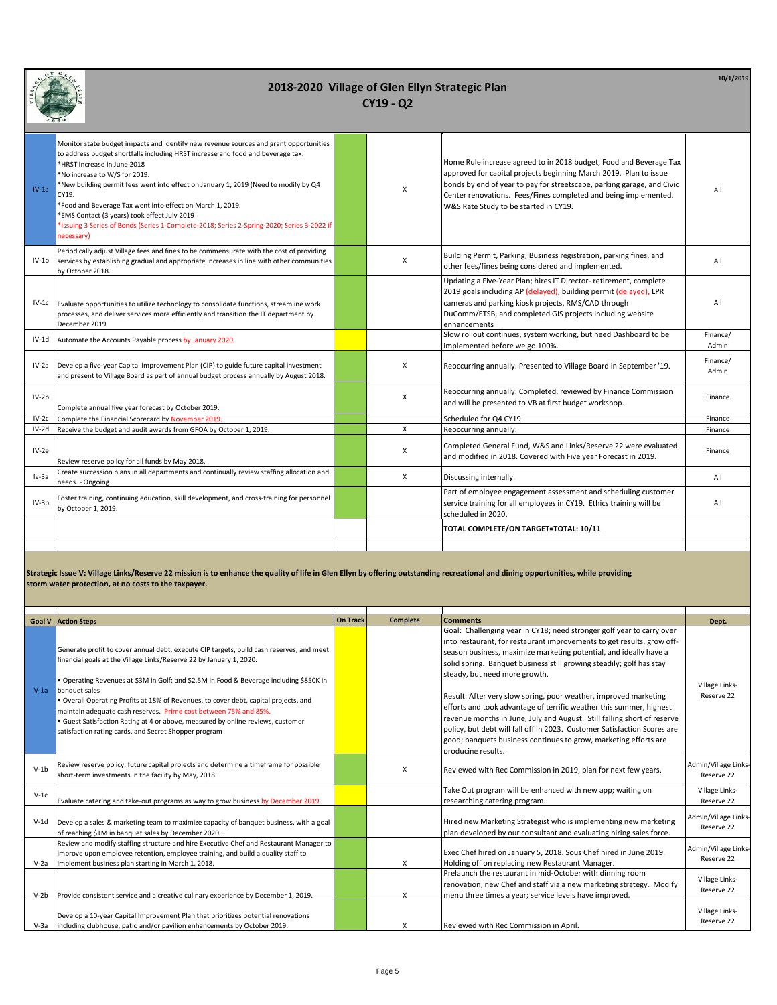| Monitor state budget impacts and identify new revenue sources and grant opportunities<br>to address budget shortfalls including HRST increase and food and beverage tax:                                                                                                                                                                                                                                                                                                                                                                                                                                                                                                                                                               |                   |
|----------------------------------------------------------------------------------------------------------------------------------------------------------------------------------------------------------------------------------------------------------------------------------------------------------------------------------------------------------------------------------------------------------------------------------------------------------------------------------------------------------------------------------------------------------------------------------------------------------------------------------------------------------------------------------------------------------------------------------------|-------------------|
| Home Rule increase agreed to in 2018 budget, Food and Beverage Tax<br>*HRST Increase in June 2018<br>approved for capital projects beginning March 2019. Plan to issue<br>*No increase to W/S for 2019.<br>bonds by end of year to pay for streetscape, parking garage, and Civic<br>*New building permit fees went into effect on January 1, 2019 (Need to modify by Q4<br>X<br>$IV-1a$<br>Center renovations. Fees/Fines completed and being implemented.<br>CY19.<br>*Food and Beverage Tax went into effect on March 1, 2019.<br>W&S Rate Study to be started in CY19.<br>*EMS Contact (3 years) took effect July 2019<br>*Issuing 3 Series of Bonds (Series 1-Complete-2018; Series 2-Spring-2020; Series 3-2022 if<br>necessary) | All               |
| Periodically adjust Village fees and fines to be commensurate with the cost of providing<br>Building Permit, Parking, Business registration, parking fines, and<br>X<br>IV-1b services by establishing gradual and appropriate increases in line with other communities<br>other fees/fines being considered and implemented.<br>by October 2018.                                                                                                                                                                                                                                                                                                                                                                                      | All               |
| Updating a Five-Year Plan; hires IT Director- retirement, complete<br>2019 goals including AP (delayed), building permit (delayed), LPR<br>cameras and parking kiosk projects, RMS/CAD through<br>IV-1c Evaluate opportunities to utilize technology to consolidate functions, streamline work<br>DuComm/ETSB, and completed GIS projects including website<br>processes, and deliver services more efficiently and transition the IT department by<br>December 2019<br>enhancements                                                                                                                                                                                                                                                   | All               |
| Slow rollout continues, system working, but need Dashboard to be<br>IV-1d Automate the Accounts Payable process by January 2020.<br>implemented before we go 100%.                                                                                                                                                                                                                                                                                                                                                                                                                                                                                                                                                                     | Finance/<br>Admin |
| IV-2a Develop a five-year Capital Improvement Plan (CIP) to guide future capital investment<br>$\times$<br>Reoccurring annually. Presented to Village Board in September '19.<br>and present to Village Board as part of annual budget process annually by August 2018.                                                                                                                                                                                                                                                                                                                                                                                                                                                                | Finance/<br>Admin |
| Reoccurring annually. Completed, reviewed by Finance Commission<br>$IV-2b$<br>X<br>and will be presented to VB at first budget workshop.<br>Complete annual five year forecast by October 2019.                                                                                                                                                                                                                                                                                                                                                                                                                                                                                                                                        | Finance           |
| Scheduled for Q4 CY19<br>$IV-2c$<br>Complete the Financial Scorecard by November 2019.                                                                                                                                                                                                                                                                                                                                                                                                                                                                                                                                                                                                                                                 | Finance           |
| X<br>Receive the budget and audit awards from GFOA by October 1, 2019.<br>$IV-2d$<br>Reoccurring annually.                                                                                                                                                                                                                                                                                                                                                                                                                                                                                                                                                                                                                             | Finance           |
| Completed General Fund, W&S and Links/Reserve 22 were evaluated<br>$IV-2e$<br>X<br>and modified in 2018. Covered with Five year Forecast in 2019.<br>Review reserve policy for all funds by May 2018.                                                                                                                                                                                                                                                                                                                                                                                                                                                                                                                                  | Finance           |
| Create succession plans in all departments and continually review staffing allocation and<br>X<br>Iv-3a<br>Discussing internally.<br>needs. - Ongoing                                                                                                                                                                                                                                                                                                                                                                                                                                                                                                                                                                                  | All               |
| Part of employee engagement assessment and scheduling customer<br>Foster training, continuing education, skill development, and cross-training for personnel<br>$IV-3b$<br>service training for all employees in CY19. Ethics training will be<br>by October 1, 2019.<br>scheduled in 2020.                                                                                                                                                                                                                                                                                                                                                                                                                                            | All               |
| TOTAL COMPLETE/ON TARGET=TOTAL: 10/11                                                                                                                                                                                                                                                                                                                                                                                                                                                                                                                                                                                                                                                                                                  |                   |
|                                                                                                                                                                                                                                                                                                                                                                                                                                                                                                                                                                                                                                                                                                                                        |                   |

**Strategic Issue V: Village Links/Reserve 22 mission is to enhance the quality of life in Glen Ellyn by offering outstanding recreational and dining opportunities, while providing storm water protection, at no costs to the taxpayer.**

|        | <b>Goal V</b> Action Steps                                                                                                                                                                                                                                                                                                                                                                                                                                                                                                                                                          | <b>On Track</b> | <b>Complete</b> | <b>Comments</b>                                                                                                                                                                                                                                                                                                                                                                                                                                                                                                                                                                                                                                                                                                           | Dept.                              |
|--------|-------------------------------------------------------------------------------------------------------------------------------------------------------------------------------------------------------------------------------------------------------------------------------------------------------------------------------------------------------------------------------------------------------------------------------------------------------------------------------------------------------------------------------------------------------------------------------------|-----------------|-----------------|---------------------------------------------------------------------------------------------------------------------------------------------------------------------------------------------------------------------------------------------------------------------------------------------------------------------------------------------------------------------------------------------------------------------------------------------------------------------------------------------------------------------------------------------------------------------------------------------------------------------------------------------------------------------------------------------------------------------------|------------------------------------|
| $V-1a$ | Generate profit to cover annual debt, execute CIP targets, build cash reserves, and meet<br>financial goals at the Village Links/Reserve 22 by January 1, 2020:<br>• Operating Revenues at \$3M in Golf; and \$2.5M in Food & Beverage including \$850K in<br>banquet sales<br>· Overall Operating Profits at 18% of Revenues, to cover debt, capital projects, and<br>maintain adequate cash reserves. Prime cost between 75% and 85%.<br>• Guest Satisfaction Rating at 4 or above, measured by online reviews, customer<br>satisfaction rating cards, and Secret Shopper program |                 |                 | Goal: Challenging year in CY18; need stronger golf year to carry over<br>into restaurant, for restaurant improvements to get results, grow off-<br>season business, maximize marketing potential, and ideally have a<br>solid spring. Banquet business still growing steadily; golf has stay<br>steady, but need more growth.<br>Result: After very slow spring, poor weather, improved marketing<br>efforts and took advantage of terrific weather this summer, highest<br>revenue months in June, July and August. Still falling short of reserve<br>policy, but debt will fall off in 2023. Customer Satisfaction Scores are<br>good; banquets business continues to grow, marketing efforts are<br>producing results. | Village Links-<br>Reserve 22       |
| $V-1b$ | Review reserve policy, future capital projects and determine a timeframe for possible<br>short-term investments in the facility by May, 2018.                                                                                                                                                                                                                                                                                                                                                                                                                                       |                 | X               | Reviewed with Rec Commission in 2019, plan for next few years.                                                                                                                                                                                                                                                                                                                                                                                                                                                                                                                                                                                                                                                            | Admin/Village Links-<br>Reserve 22 |
| $V-1c$ | Evaluate catering and take-out programs as way to grow business by December 2019.                                                                                                                                                                                                                                                                                                                                                                                                                                                                                                   |                 |                 | Take Out program will be enhanced with new app; waiting on<br>researching catering program.                                                                                                                                                                                                                                                                                                                                                                                                                                                                                                                                                                                                                               | Village Links-<br>Reserve 22       |
| $V-1d$ | Develop a sales & marketing team to maximize capacity of banquet business, with a goal<br>of reaching \$1M in banquet sales by December 2020.                                                                                                                                                                                                                                                                                                                                                                                                                                       |                 |                 | Hired new Marketing Strategist who is implementing new marketing<br>plan developed by our consultant and evaluating hiring sales force.                                                                                                                                                                                                                                                                                                                                                                                                                                                                                                                                                                                   | Admin/Village Links-<br>Reserve 22 |
|        | Review and modify staffing structure and hire Executive Chef and Restaurant Manager to<br>improve upon employee retention, employee training, and build a quality staff to<br>V-2a implement business plan starting in March 1, 2018.                                                                                                                                                                                                                                                                                                                                               |                 | X               | Exec Chef hired on January 5, 2018. Sous Chef hired in June 2019.<br>Holding off on replacing new Restaurant Manager.                                                                                                                                                                                                                                                                                                                                                                                                                                                                                                                                                                                                     | Admin/Village Links-<br>Reserve 22 |
|        | V-2b Provide consistent service and a creative culinary experience by December 1, 2019.                                                                                                                                                                                                                                                                                                                                                                                                                                                                                             |                 | X               | Prelaunch the restaurant in mid-October with dinning room<br>renovation, new Chef and staff via a new marketing strategy. Modify<br>menu three times a year; service levels have improved.                                                                                                                                                                                                                                                                                                                                                                                                                                                                                                                                | Village Links-<br>Reserve 22       |
|        | Develop a 10-year Capital Improvement Plan that prioritizes potential renovations<br>V-3a   including clubhouse, patio and/or pavilion enhancements by October 2019.                                                                                                                                                                                                                                                                                                                                                                                                                |                 |                 | Reviewed with Rec Commission in April.                                                                                                                                                                                                                                                                                                                                                                                                                                                                                                                                                                                                                                                                                    | Village Links-<br>Reserve 22       |